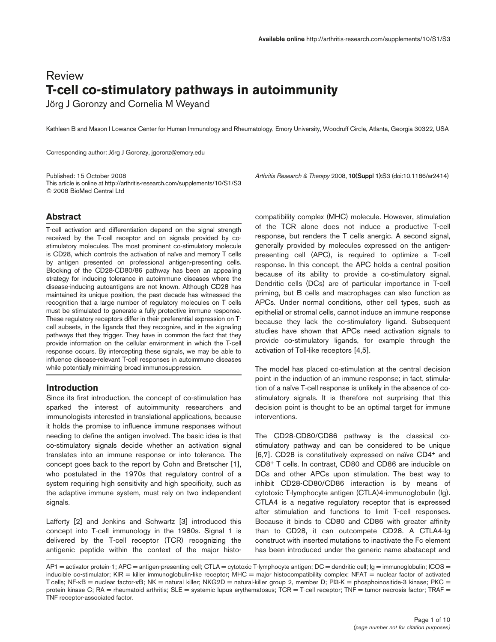# Review **T-cell co-stimulatory pathways in autoimmunity**

Jörg J Goronzy and Cornelia M Weyand

Kathleen B and Mason I Lowance Center for Human Immunology and Rheumatology, Emory University, Woodruff Circle, Atlanta, Georgia 30322, USA

Corresponding author: Jörg J Goronzy, jgoronz@emory.edu

Published: 15 October 2008 *Arthritis Research & Therapy* 2008, **10(Suppl 1):**S3 (doi:10.1186/ar2414) This article is online at http://arthritis-research.com/supplements/10/S1/S3 © 2008 BioMed Central Ltd

## **Abstract**

T-cell activation and differentiation depend on the signal strength received by the T-cell receptor and on signals provided by costimulatory molecules. The most prominent co-stimulatory molecule is CD28, which controls the activation of naïve and memory T cells by antigen presented on professional antigen-presenting cells. Blocking of the CD28-CD80/86 pathway has been an appealing strategy for inducing tolerance in autoimmune diseases where the disease-inducing autoantigens are not known. Although CD28 has maintained its unique position, the past decade has witnessed the recognition that a large number of regulatory molecules on T cells must be stimulated to generate a fully protective immune response. These regulatory receptors differ in their preferential expression on Tcell subsets, in the ligands that they recognize, and in the signaling pathways that they trigger. They have in common the fact that they provide information on the cellular environment in which the T-cell response occurs. By intercepting these signals, we may be able to influence disease-relevant T-cell responses in autoimmune diseases while potentially minimizing broad immunosuppression.

## **Introduction**

Since its first introduction, the concept of co-stimulation has sparked the interest of autoimmunity researchers and immunologists interested in translational applications, because it holds the promise to influence immune responses without needing to define the antigen involved. The basic idea is that co-stimulatory signals decide whether an activation signal translates into an immune response or into tolerance. The concept goes back to the report by Cohn and Bretscher [1], who postulated in the 1970s that regulatory control of a system requiring high sensitivity and high specificity, such as the adaptive immune system, must rely on two independent signals.

Lafferty [2] and Jenkins and Schwartz [3] introduced this concept into T-cell immunology in the 1980s. Signal 1 is delivered by the T-cell receptor (TCR) recognizing the antigenic peptide within the context of the major histocompatibility complex (MHC) molecule. However, stimulation of the TCR alone does not induce a productive T-cell response, but renders the T cells anergic. A second signal, generally provided by molecules expressed on the antigenpresenting cell (APC), is required to optimize a T-cell response. In this concept, the APC holds a central position because of its ability to provide a co-stimulatory signal. Dendritic cells (DCs) are of particular importance in T-cell priming, but B cells and macrophages can also function as APCs. Under normal conditions, other cell types, such as epithelial or stromal cells, cannot induce an immune response because they lack the co-stimulatory ligand. Subsequent studies have shown that APCs need activation signals to provide co-stimulatory ligands, for example through the activation of Toll-like receptors [4,5].

The model has placed co-stimulation at the central decision point in the induction of an immune response; in fact, stimulation of a naïve T-cell response is unlikely in the absence of costimulatory signals. It is therefore not surprising that this decision point is thought to be an optimal target for immune interventions.

The CD28-CD80/CD86 pathway is the classical costimulatory pathway and can be considered to be unique [6,7]. CD28 is constitutively expressed on naïve CD4+ and CD8+ T cells. In contrast, CD80 and CD86 are inducible on DCs and other APCs upon stimulation. The best way to inhibit CD28-CD80/CD86 interaction is by means of cytotoxic T-lymphocyte antigen (CTLA)4-immunoglobulin (Ig). CTLA4 is a negative regulatory receptor that is expressed after stimulation and functions to limit T-cell responses. Because it binds to CD80 and CD86 with greater affinity than to CD28, it can outcompete CD28. A CTLA4-Ig construct with inserted mutations to inactivate the Fc element has been introduced under the generic name abatacept and

AP1 = activator protein-1; APC = antigen-presenting cell; CTLA = cytotoxic T-lymphocyte antigen; DC = dendritic cell;  $g = \text{immunoglobulin}$ ; ICOS = inducible co-stimulator; KIR = killer immunoglobulin-like receptor; MHC = major histocompatibility complex; NFAT = nuclear factor of activated T cells; NF-κB = nuclear factor-κB; NK = natural killer; NKG2D = natural-killer group 2, member D; Pl3-K = phosphoinositide-3 kinase; PKC = protein kinase C; RA = rheumatoid arthritis; SLE = systemic lupus erythematosus; TCR = T-cell receptor; TNF = tumor necrosis factor; TRAF = TNF receptor-associated factor.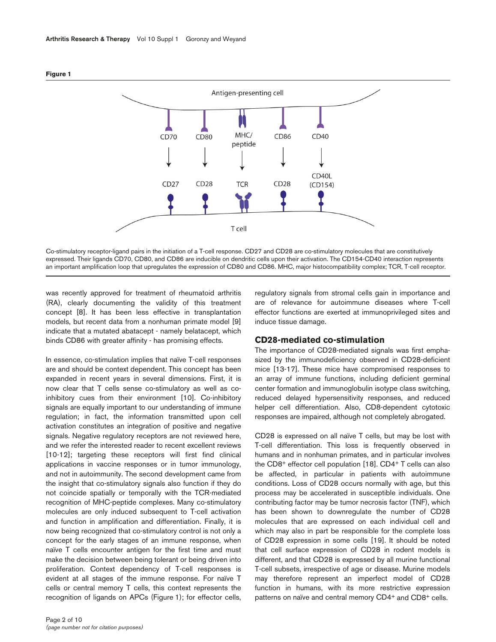

**Figure 1**

Co-stimulatory receptor-ligand pairs in the initiation of a T-cell response. CD27 and CD28 are co-stimulatory molecules that are constitutively expressed. Their ligands CD70, CD80, and CD86 are inducible on dendritic cells upon their activation. The CD154-CD40 interaction represents an important amplification loop that upregulates the expression of CD80 and CD86. MHC, major histocompatibility complex; TCR, T-cell receptor.

was recently approved for treatment of rheumatoid arthritis (RA), clearly documenting the validity of this treatment concept [8]. It has been less effective in transplantation models, but recent data from a nonhuman primate model [9] indicate that a mutated abatacept - namely belatacept, which binds CD86 with greater affinity - has promising effects.

In essence, co-stimulation implies that naïve T-cell responses are and should be context dependent. This concept has been expanded in recent years in several dimensions. First, it is now clear that T cells sense co-stimulatory as well as coinhibitory cues from their environment [10]. Co-inhibitory signals are equally important to our understanding of immune regulation; in fact, the information transmitted upon cell activation constitutes an integration of positive and negative signals. Negative regulatory receptors are not reviewed here, and we refer the interested reader to recent excellent reviews [10-12]; targeting these receptors will first find clinical applications in vaccine responses or in tumor immunology, and not in autoimmunity. The second development came from the insight that co-stimulatory signals also function if they do not coincide spatially or temporally with the TCR-mediated recognition of MHC-peptide complexes. Many co-stimulatory molecules are only induced subsequent to T-cell activation and function in amplification and differentiation. Finally, it is now being recognized that co-stimulatory control is not only a concept for the early stages of an immune response, when naïve T cells encounter antigen for the first time and must make the decision between being tolerant or being driven into proliferation. Context dependency of T-cell responses is evident at all stages of the immune response. For naïve T cells or central memory T cells, this context represents the recognition of ligands on APCs (Figure 1); for effector cells,

regulatory signals from stromal cells gain in importance and are of relevance for autoimmune diseases where T-cell effector functions are exerted at immunoprivileged sites and induce tissue damage.

## **CD28-mediated co-stimulation**

The importance of CD28-mediated signals was first emphasized by the immunodeficiency observed in CD28-deficient mice [13-17]. These mice have compromised responses to an array of immune functions, including deficient germinal center formation and immunoglobulin isotype class switching, reduced delayed hypersensitivity responses, and reduced helper cell differentiation. Also, CD8-dependent cytotoxic responses are impaired, although not completely abrogated.

CD28 is expressed on all naïve T cells, but may be lost with T-cell differentiation. This loss is frequently observed in humans and in nonhuman primates, and in particular involves the CD8<sup>+</sup> effector cell population [18]. CD4<sup>+</sup> T cells can also be affected, in particular in patients with autoimmune conditions. Loss of CD28 occurs normally with age, but this process may be accelerated in susceptible individuals. One contributing factor may be tumor necrosis factor (TNF), which has been shown to downregulate the number of CD28 molecules that are expressed on each individual cell and which may also in part be responsible for the complete loss of CD28 expression in some cells [19]. It should be noted that cell surface expression of CD28 in rodent models is different, and that CD28 is expressed by all murine functional T-cell subsets, irrespective of age or disease. Murine models may therefore represent an imperfect model of CD28 function in humans, with its more restrictive expression patterns on naïve and central memory CD4<sup>+</sup> and CD8<sup>+</sup> cells.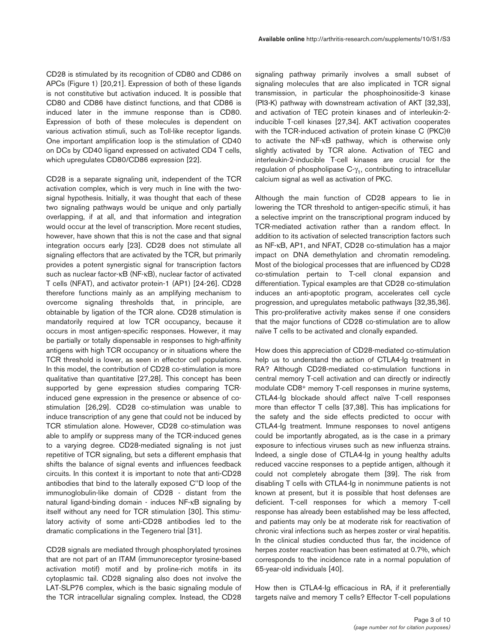CD28 is stimulated by its recognition of CD80 and CD86 on APCs (Figure 1) [20,21]. Expression of both of these ligands is not constitutive but activation induced. It is possible that CD80 and CD86 have distinct functions, and that CD86 is induced later in the immune response than is CD80. Expression of both of these molecules is dependent on various activation stimuli, such as Toll-like receptor ligands. One important amplification loop is the stimulation of CD40 on DCs by CD40 ligand expressed on activated CD4 T cells, which upregulates CD80/CD86 expression [22].

CD28 is a separate signaling unit, independent of the TCR activation complex, which is very much in line with the twosignal hypothesis. Initially, it was thought that each of these two signaling pathways would be unique and only partially overlapping, if at all, and that information and integration would occur at the level of transcription. More recent studies, however, have shown that this is not the case and that signal integration occurs early [23]. CD28 does not stimulate all signaling effectors that are activated by the TCR, but primarily provides a potent synergistic signal for transcription factors such as nuclear factor-κB (NF-κB), nuclear factor of activated T cells (NFAT), and activator protein-1 (AP1) [24-26]. CD28 therefore functions mainly as an amplifying mechanism to overcome signaling thresholds that, in principle, are obtainable by ligation of the TCR alone. CD28 stimulation is mandatorily required at low TCR occupancy, because it occurs in most antigen-specific responses. However, it may be partially or totally dispensable in responses to high-affinity antigens with high TCR occupancy or in situations where the TCR threshold is lower, as seen in effector cell populations. In this model, the contribution of CD28 co-stimulation is more qualitative than quantitative [27,28]. This concept has been supported by gene expression studies comparing TCRinduced gene expression in the presence or absence of costimulation [26,29]. CD28 co-stimulation was unable to induce transcription of any gene that could not be induced by TCR stimulation alone. However, CD28 co-stimulation was able to amplify or suppress many of the TCR-induced genes to a varying degree. CD28-mediated signaling is not just repetitive of TCR signaling, but sets a different emphasis that shifts the balance of signal events and influences feedback circuits. In this context it is important to note that anti-CD28 antibodies that bind to the laterally exposed C''D loop of the immunoglobulin-like domain of CD28 - distant from the natural ligand-binding domain - induces NF-κB signaling by itself without any need for TCR stimulation [30]. This stimulatory activity of some anti-CD28 antibodies led to the dramatic complications in the Tegenero trial [31].

CD28 signals are mediated through phosphorylated tyrosines that are not part of an ITAM (immunoreceptor tyrosine-based activation motif) motif and by proline-rich motifs in its cytoplasmic tail. CD28 signaling also does not involve the LAT-SLP76 complex, which is the basic signaling module of the TCR intracellular signaling complex. Instead, the CD28 signaling pathway primarily involves a small subset of signaling molecules that are also implicated in TCR signal transmission, in particular the phosphoinositide-3 kinase (PI3-K) pathway with downstream activation of AKT [32,33], and activation of TEC protein kinases and of interleukin-2 inducible T-cell kinases [27,34]. AKT activation cooperates with the TCR-induced activation of protein kinase C (PKC)θ to activate the NF-κB pathway, which is otherwise only slightly activated by TCR alone. Activation of TEC and interleukin-2-inducible T-cell kinases are crucial for the regulation of phospholipase  $C_{\gamma_1}$ , contributing to intracellular calcium signal as well as activation of PKC.

Although the main function of CD28 appears to lie in lowering the TCR threshold to antigen-specific stimuli, it has a selective imprint on the transcriptional program induced by TCR-mediated activation rather than a random effect. In addition to its activation of selected transcription factors such as NF-κB, AP1, and NFAT, CD28 co-stimulation has a major impact on DNA demethylation and chromatin remodeling. Most of the biological processes that are influenced by CD28 co-stimulation pertain to T-cell clonal expansion and differentiation. Typical examples are that CD28 co-stimulation induces an anti-apoptotic program, accelerates cell cycle progression, and upregulates metabolic pathways [32,35,36]. This pro-proliferative activity makes sense if one considers that the major functions of CD28 co-stimulation are to allow naïve T cells to be activated and clonally expanded.

How does this appreciation of CD28-mediated co-stimulation help us to understand the action of CTLA4-Ig treatment in RA? Although CD28-mediated co-stimulation functions in central memory T-cell activation and can directly or indirectly modulate CD8+ memory T-cell responses in murine systems, CTLA4-Ig blockade should affect naïve T-cell responses more than effector T cells [37,38]. This has implications for the safety and the side effects predicted to occur with CTLA4-Ig treatment. Immune responses to novel antigens could be importantly abrogated, as is the case in a primary exposure to infectious viruses such as new influenza strains. Indeed, a single dose of CTLA4-Ig in young healthy adults reduced vaccine responses to a peptide antigen, although it could not completely abrogate them [39]. The risk from disabling T cells with CTLA4-Ig in nonimmune patients is not known at present, but it is possible that host defenses are deficient. T-cell responses for which a memory T-cell response has already been established may be less affected, and patients may only be at moderate risk for reactivation of chronic viral infections such as herpes zoster or viral hepatitis. In the clinical studies conducted thus far, the incidence of herpes zoster reactivation has been estimated at 0.7%, which corresponds to the incidence rate in a normal population of 65-year-old individuals [40].

How then is CTLA4-Ig efficacious in RA, if it preferentially targets naïve and memory T cells? Effector T-cell populations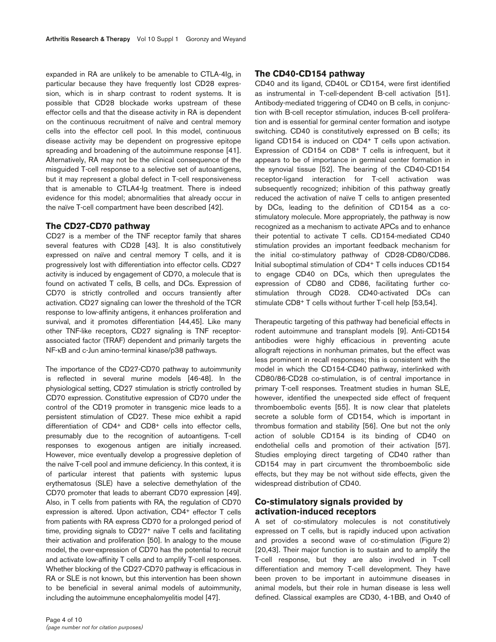expanded in RA are unlikely to be amenable to CTLA-4Ig, in particular because they have frequently lost CD28 expression, which is in sharp contrast to rodent systems. It is possible that CD28 blockade works upstream of these effector cells and that the disease activity in RA is dependent on the continuous recruitment of naïve and central memory cells into the effector cell pool. In this model, continuous disease activity may be dependent on progressive epitope spreading and broadening of the autoimmune response [41]. Alternatively, RA may not be the clinical consequence of the misguided T-cell response to a selective set of autoantigens, but it may represent a global defect in T-cell responsiveness that is amenable to CTLA4-Ig treatment. There is indeed evidence for this model; abnormalities that already occur in the naïve T-cell compartment have been described [42].

#### **The CD27-CD70 pathway**

CD27 is a member of the TNF receptor family that shares several features with CD28 [43]. It is also constitutively expressed on naïve and central memory T cells, and it is progressively lost with differentiation into effector cells. CD27 activity is induced by engagement of CD70, a molecule that is found on activated T cells, B cells, and DCs. Expression of CD70 is strictly controlled and occurs transiently after activation. CD27 signaling can lower the threshold of the TCR response to low-affinity antigens, it enhances proliferation and survival, and it promotes differentiation [44,45]. Like many other TNF-like receptors, CD27 signaling is TNF receptorassociated factor (TRAF) dependent and primarily targets the NF-κB and c-Jun amino-terminal kinase/p38 pathways.

The importance of the CD27-CD70 pathway to autoimmunity is reflected in several murine models [46-48]. In the physiological setting, CD27 stimulation is strictly controlled by CD70 expression. Constitutive expression of CD70 under the control of the CD19 promoter in transgenic mice leads to a persistent stimulation of CD27. These mice exhibit a rapid differentiation of CD4+ and CD8+ cells into effector cells, presumably due to the recognition of autoantigens. T-cell responses to exogenous antigen are initially increased. However, mice eventually develop a progressive depletion of the naïve T-cell pool and immune deficiency. In this context, it is of particular interest that patients with systemic lupus erythematosus (SLE) have a selective demethylation of the CD70 promoter that leads to aberrant CD70 expression [49]. Also, in T cells from patients with RA, the regulation of CD70 expression is altered. Upon activation, CD4+ effector T cells from patients with RA express CD70 for a prolonged period of time, providing signals to CD27+ naïve T cells and facilitating their activation and proliferation [50]. In analogy to the mouse model, the over-expression of CD70 has the potential to recruit and activate low-affinity T cells and to amplify T-cell responses. Whether blocking of the CD27-CD70 pathway is efficacious in RA or SLE is not known, but this intervention has been shown to be beneficial in several animal models of autoimmunity, including the autoimmune encephalomyelitis model [47].

#### **The CD40-CD154 pathway**

CD40 and its ligand, CD40L or CD154, were first identified as instrumental in T-cell-dependent B-cell activation [51]. Antibody-mediated triggering of CD40 on B cells, in conjunction with B-cell receptor stimulation, induces B-cell proliferation and is essential for germinal center formation and isotype switching. CD40 is constitutively expressed on B cells; its ligand CD154 is induced on CD4+ T cells upon activation. Expression of CD154 on CD8+ T cells is infrequent, but it appears to be of importance in germinal center formation in the synovial tissue [52]. The bearing of the CD40-CD154 receptor-ligand interaction for T-cell activation was subsequently recognized; inhibition of this pathway greatly reduced the activation of naïve T cells to antigen presented by DCs, leading to the definition of CD154 as a costimulatory molecule. More appropriately, the pathway is now recognized as a mechanism to activate APCs and to enhance their potential to activate T cells. CD154-mediated CD40 stimulation provides an important feedback mechanism for the initial co-stimulatory pathway of CD28-CD80/CD86. Initial suboptimal stimulation of CD4+ T cells induces CD154 to engage CD40 on DCs, which then upregulates the expression of CD80 and CD86, facilitating further costimulation through CD28. CD40-activated DCs can stimulate CD8+ T cells without further T-cell help [53,54].

Therapeutic targeting of this pathway had beneficial effects in rodent autoimmune and transplant models [9]. Anti-CD154 antibodies were highly efficacious in preventing acute allograft rejections in nonhuman primates, but the effect was less prominent in recall responses; this is consistent with the model in which the CD154-CD40 pathway, interlinked with CD80/86-CD28 co-stimulation, is of central importance in primary T-cell responses. Treatment studies in human SLE, however, identified the unexpected side effect of frequent thromboembolic events [55]. It is now clear that platelets secrete a soluble form of CD154, which is important in thrombus formation and stability [56]. One but not the only action of soluble CD154 is its binding of CD40 on endothelial cells and promotion of their activation [57]. Studies employing direct targeting of CD40 rather than CD154 may in part circumvent the thromboembolic side effects, but they may be not without side effects, given the widespread distribution of CD40.

# **Co-stimulatory signals provided by activation-induced receptors**

A set of co-stimulatory molecules is not constitutively expressed on T cells, but is rapidly induced upon activation and provides a second wave of co-stimulation (Figure 2) [20,43]. Their major function is to sustain and to amplify the T-cell response, but they are also involved in T-cell differentiation and memory T-cell development. They have been proven to be important in autoimmune diseases in animal models, but their role in human disease is less well defined. Classical examples are CD30, 4-1BB, and Ox40 of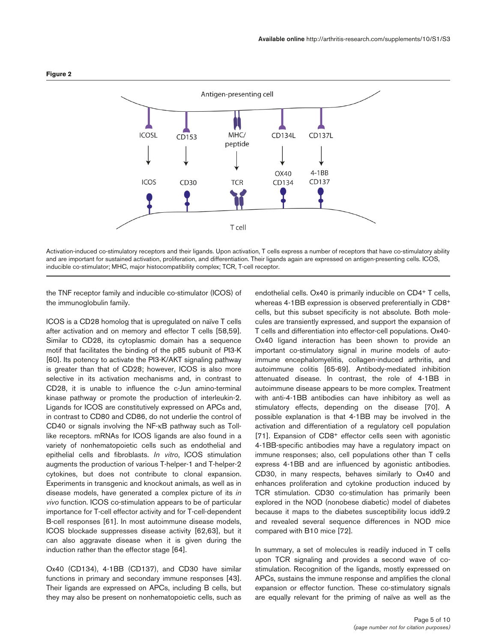

Activation-induced co-stimulatory receptors and their ligands. Upon activation, T cells express a number of receptors that have co-stimulatory ability and are important for sustained activation, proliferation, and differentiation. Their ligands again are expressed on antigen-presenting cells. ICOS, inducible co-stimulator; MHC, major histocompatibility complex; TCR, T-cell receptor.

the TNF receptor family and inducible co-stimulator (ICOS) of the immunoglobulin family.

ICOS is a CD28 homolog that is upregulated on naïve T cells after activation and on memory and effector T cells [58,59]. Similar to CD28, its cytoplasmic domain has a sequence motif that facilitates the binding of the p85 subunit of PI3-K [60]. Its potency to activate the PI3-K/AKT signaling pathway is greater than that of CD28; however, ICOS is also more selective in its activation mechanisms and, in contrast to CD28, it is unable to influence the c-Jun amino-terminal kinase pathway or promote the production of interleukin-2. Ligands for ICOS are constitutively expressed on APCs and, in contrast to CD80 and CD86, do not underlie the control of CD40 or signals involving the NF-κB pathway such as Tolllike receptors. mRNAs for ICOS ligands are also found in a variety of nonhematopoietic cells such as endothelial and epithelial cells and fibroblasts. *In vitro*, ICOS stimulation augments the production of various T-helper-1 and T-helper-2 cytokines, but does not contribute to clonal expansion. Experiments in transgenic and knockout animals, as well as in disease models, have generated a complex picture of its *in vivo* function. ICOS co-stimulation appears to be of particular importance for T-cell effector activity and for T-cell-dependent B-cell responses [61]. In most autoimmune disease models, ICOS blockade suppresses disease activity [62,63], but it can also aggravate disease when it is given during the induction rather than the effector stage [64].

Ox40 (CD134), 4-1BB (CD137), and CD30 have similar functions in primary and secondary immune responses [43]. Their ligands are expressed on APCs, including B cells, but they may also be present on nonhematopoietic cells, such as endothelial cells. Ox40 is primarily inducible on CD4+ T cells, whereas 4-1BB expression is observed preferentially in CD8+ cells, but this subset specificity is not absolute. Both molecules are transiently expressed, and support the expansion of T cells and differentiation into effector-cell populations. Ox40- Ox40 ligand interaction has been shown to provide an important co-stimulatory signal in murine models of autoimmune encephalomyelitis, collagen-induced arthritis, and autoimmune colitis [65-69]. Antibody-mediated inhibition attenuated disease. In contrast, the role of 4-1BB in autoimmune disease appears to be more complex. Treatment with anti-4-1BB antibodies can have inhibitory as well as stimulatory effects, depending on the disease [70]. A possible explanation is that 4-1BB may be involved in the activation and differentiation of a regulatory cell population [71]. Expansion of CD8<sup>+</sup> effector cells seen with agonistic 4-1BB-specific antibodies may have a regulatory impact on immune responses; also, cell populations other than T cells express 4-1BB and are influenced by agonistic antibodies. CD30, in many respects, behaves similarly to Ox40 and enhances proliferation and cytokine production induced by TCR stimulation. CD30 co-stimulation has primarily been explored in the NOD (nonobese diabetic) model of diabetes because it maps to the diabetes susceptibility locus idd9.2 and revealed several sequence differences in NOD mice compared with B10 mice [72].

In summary, a set of molecules is readily induced in T cells upon TCR signaling and provides a second wave of costimulation. Recognition of the ligands, mostly expressed on APCs, sustains the immune response and amplifies the clonal expansion or effector function. These co-stimulatory signals are equally relevant for the priming of naïve as well as the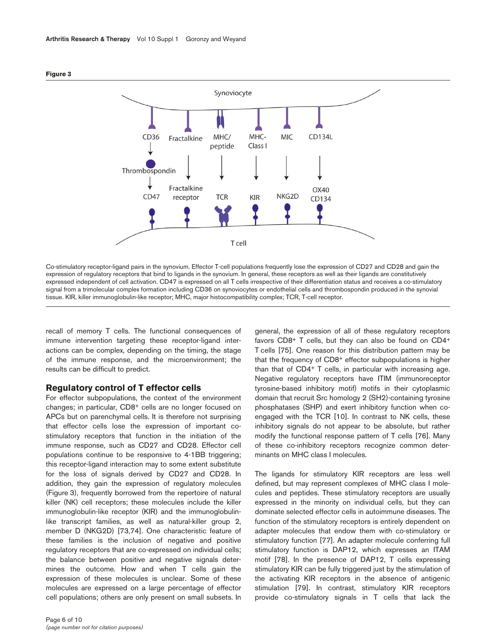

Co-stimulatory receptor-ligand pairs in the synovium. Effector T-cell populations frequently lose the expression of CD27 and CD28 and gain the expression of regulatory receptors that bind to ligands in the synovium. In general, these receptors as well as their ligands are constitutively expressed independent of cell activation. CD47 is expressed on all T cells irrespective of their differentiation status and receives a co-stimulatory signal from a trimolecular complex formation including CD36 on synoviocytes or endothelial cells and thrombospondin produced in the synovial tissue. KIR, killer immunoglobulin-like receptor; MHC, major histocompatibility complex; TCR, T-cell receptor.

recall of memory T cells. The functional consequences of immune intervention targeting these receptor-ligand interactions can be complex, depending on the timing, the stage of the immune response, and the microenvironment; the results can be difficult to predict.

## **Regulatory control of T effector cells**

For effector subpopulations, the context of the environment changes; in particular, CD8+ cells are no longer focused on APCs but on parenchymal cells. It is therefore not surprising that effector cells lose the expression of important costimulatory receptors that function in the initiation of the immune response, such as CD27 and CD28. Effector cell populations continue to be responsive to 4-1BB triggering; this receptor-ligand interaction may to some extent substitute for the loss of signals derived by CD27 and CD28. In addition, they gain the expression of regulatory molecules (Figure 3), frequently borrowed from the repertoire of natural killer (NK) cell receptors; these molecules include the killer immunoglobulin-like receptor (KIR) and the immunoglobulinlike transcript families, as well as natural-killer group 2, member D (NKG2D) [73,74]. One characteristic feature of these families is the inclusion of negative and positive regulatory receptors that are co-expressed on individual cells; the balance between positive and negative signals determines the outcome. How and when T cells gain the expression of these molecules is unclear. Some of these molecules are expressed on a large percentage of effector cell populations; others are only present on small subsets. In

general, the expression of all of these regulatory receptors favors CD8+ T cells, but they can also be found on CD4+ T cells [75]. One reason for this distribution pattern may be that the frequency of CD8+ effector subpopulations is higher than that of CD4+ T cells, in particular with increasing age. Negative regulatory receptors have ITIM (immunoreceptor tyrosine-based inhibitory motif) motifs in their cytoplasmic domain that recruit Src homology 2 (SH2)-containing tyrosine phosphatases (SHP) and exert inhibitory function when coengaged with the TCR [10]. In contrast to NK cells, these inhibitory signals do not appear to be absolute, but rather modify the functional response pattern of T cells [76]. Many of these co-inhibitory receptors recognize common determinants on MHC class I molecules.

The ligands for stimulatory KIR receptors are less well defined, but may represent complexes of MHC class I molecules and peptides. These stimulatory receptors are usually expressed in the minority on individual cells, but they can dominate selected effector cells in autoimmune diseases. The function of the stimulatory receptors is entirely dependent on adapter molecules that endow them with co-stimulatory or stimulatory function [77]. An adapter molecule conferring full stimulatory function is DAP12, which expresses an ITAM motif [78]. In the presence of DAP12, T cells expressing stimulatory KIR can be fully triggered just by the stimulation of the activating KIR receptors in the absence of antigenic stimulation [79]. In contrast, stimulatory KIR receptors provide co-stimulatory signals in T cells that lack the

**Figure 3**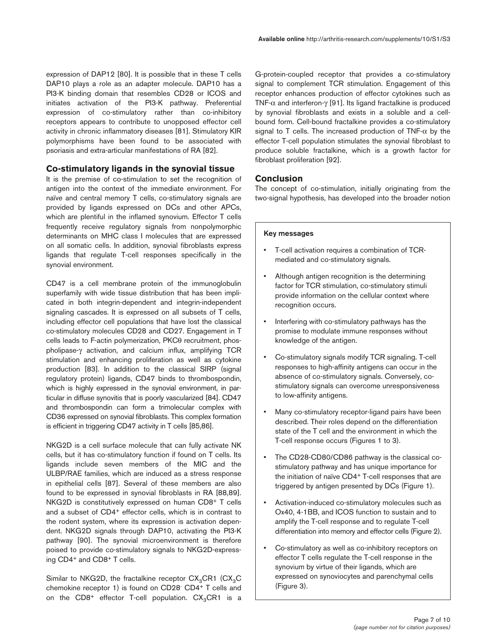expression of DAP12 [80]. It is possible that in these T cells DAP10 plays a role as an adapter molecule. DAP10 has a PI3-K binding domain that resembles CD28 or ICOS and initiates activation of the PI3-K pathway. Preferential expression of co-stimulatory rather than co-inhibitory receptors appears to contribute to unopposed effector cell activity in chronic inflammatory diseases [81]. Stimulatory KIR polymorphisms have been found to be associated with psoriasis and extra-articular manifestations of RA [82].

# **Co-stimulatory ligands in the synovial tissue**

It is the premise of co-stimulation to set the recognition of antigen into the context of the immediate environment. For naïve and central memory T cells, co-stimulatory signals are provided by ligands expressed on DCs and other APCs, which are plentiful in the inflamed synovium. Effector T cells frequently receive regulatory signals from nonpolymorphic determinants on MHC class I molecules that are expressed on all somatic cells. In addition, synovial fibroblasts express ligands that regulate T-cell responses specifically in the synovial environment.

CD47 is a cell membrane protein of the immunoglobulin superfamily with wide tissue distribution that has been implicated in both integrin-dependent and integrin-independent signaling cascades. It is expressed on all subsets of T cells, including effector cell populations that have lost the classical co-stimulatory molecules CD28 and CD27. Engagement in T cells leads to F-actin polymerization, PKCθ recruitment, phospholipase-γ activation, and calcium influx, amplifying TCR stimulation and enhancing proliferation as well as cytokine production [83]. In addition to the classical SIRP (signal regulatory protein) ligands, CD47 binds to thrombospondin, which is highly expressed in the synovial environment, in particular in diffuse synovitis that is poorly vascularized [84]. CD47 and thrombospondin can form a trimolecular complex with CD36 expressed on synovial fibroblasts. This complex formation is efficient in triggering CD47 activity in T cells [85,86].

NKG2D is a cell surface molecule that can fully activate NK cells, but it has co-stimulatory function if found on T cells. Its ligands include seven members of the MIC and the ULBP/RAE families, which are induced as a stress response in epithelial cells [87]. Several of these members are also found to be expressed in synovial fibroblasts in RA [88,89]. NKG2D is constitutively expressed on human CD8+ T cells and a subset of CD4+ effector cells, which is in contrast to the rodent system, where its expression is activation dependent. NKG2D signals through DAP10, activating the PI3-K pathway [90]. The synovial microenvironment is therefore poised to provide co-stimulatory signals to NKG2D-expressing CD4+ and CD8+ T cells.

Similar to NKG2D, the fractalkine receptor  $CX_3CR1$  (CX<sub>3</sub>C chemokine receptor 1) is found on CD28- CD4+ T cells and on the  $CD8^+$  effector T-cell population.  $CX_3CR1$  is a

G-protein-coupled receptor that provides a co-stimulatory signal to complement TCR stimulation. Engagement of this receptor enhances production of effector cytokines such as TNF-α and interferon-γ [91]. Its ligand fractalkine is produced by synovial fibroblasts and exists in a soluble and a cellbound form. Cell-bound fractalkine provides a co-stimulatory signal to T cells. The increased production of TNF- $\alpha$  by the effector T-cell population stimulates the synovial fibroblast to produce soluble fractalkine, which is a growth factor for fibroblast proliferation [92].

# **Conclusion**

The concept of co-stimulation, initially originating from the two-signal hypothesis, has developed into the broader notion

## **Key messages**

- T-cell activation requires a combination of TCRmediated and co-stimulatory signals.
- Although antigen recognition is the determining factor for TCR stimulation, co-stimulatory stimuli provide information on the cellular context where recognition occurs.
- Interfering with co-stimulatory pathways has the promise to modulate immune responses without knowledge of the antigen.
- Co-stimulatory signals modify TCR signaling. T-cell responses to high-affinity antigens can occur in the absence of co-stimulatory signals. Conversely, costimulatory signals can overcome unresponsiveness to low-affinity antigens.
- Many co-stimulatory receptor-ligand pairs have been described. Their roles depend on the differentiation state of the T cell and the environment in which the T-cell response occurs (Figures 1 to 3).
- The CD28-CD80/CD86 pathway is the classical costimulatory pathway and has unique importance for the initiation of naïve CD4+ T-cell responses that are triggered by antigen presented by DCs (Figure 1).
- Activation-induced co-stimulatory molecules such as Ox40, 4-1BB, and ICOS function to sustain and to amplify the T-cell response and to regulate T-cell differentiation into memory and effector cells (Figure 2).
- Co-stimulatory as well as co-inhibitory receptors on effector T cells regulate the T-cell response in the synovium by virtue of their ligands, which are expressed on synoviocytes and parenchymal cells (Figure 3).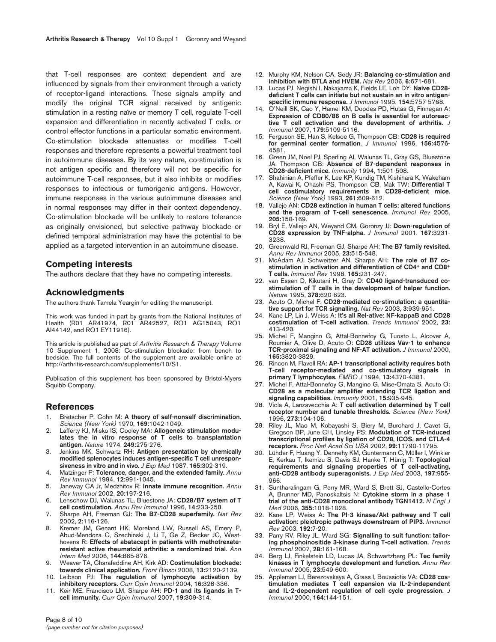that T-cell responses are context dependent and are influenced by signals from their environment through a variety of receptor-ligand interactions. These signals amplify and modify the original TCR signal received by antigenic stimulation in a resting naïve or memory T cell, regulate T-cell expansion and differentiation in recently activated T cells, or control effector functions in a particular somatic environment. Co-stimulation blockade attenuates or modifies T-cell responses and therefore represents a powerful treatment tool in autoimmune diseases. By its very nature, co-stimulation is not antigen specific and therefore will not be specific for autoimmune T-cell responses, but it also inhibits or modifies responses to infectious or tumorigenic antigens. However, immune responses in the various autoimmune diseases and in normal responses may differ in their context dependency. Co-stimulation blockade will be unlikely to restore tolerance as originally envisioned, but selective pathway blockade or defined temporal administration may have the potential to be applied as a targeted intervention in an autoimmune disease.

### **Competing interests**

The authors declare that they have no competing interests.

#### **Acknowledgments**

The authors thank Tamela Yeargin for editing the manuscript.

This work was funded in part by grants from the National Institutes of Health (R01 AR41974, R01 AR42527, RO1 AG15043, RO1 AI44142, and RO1 EY11916).

This article is published as part of *Arthritis Research & Therapy* Volume 10 Supplement 1, 2008: Co-stimulation blockade: from bench to bedside. The full contents of the supplement are available online at http://arthritis-research.com/supplements/10/S1.

Publication of this supplement has been sponsored by Bristol-Myers Squibb Company.

#### **References**

- 1. Bretscher P, Cohn M: **A theory of self-nonself discrimination.** *Science (New York)* 1970, **169:**1042-1049.
- Lafferty KJ, Misko IS, Cooley MA: Allogeneic stimulation modu**lates the in vitro response of T cells to transplantation antigen.** *Nature* 1974, **249:**275-276.
- 3. Jenkins MK, Schwartz RH: **Antigen presentation by chemically modified splenocytes induces antigen-specific T cell unresponsiveness in vitro and in vivo.** *J Exp Med* 1987, **165:**302-319.
- 4. Matzinger P: **Tolerance, danger, and the extended family.** *Annu Rev Immunol* 1994, **12:**991-1045.
- 5. Janeway CA Jr, Medzhitov R: **Innate immune recognition.** *Annu Rev Immunol* 2002, **20:**197-216.
- 6. Lenschow DJ, Walunas TL, Bluestone JA: **CD28/B7 system of T cell costimulation.** *Annu Rev Immunol* 1996, **14:**233-258.
- 7. Sharpe AH, Freeman GJ: **The B7-CD28 superfamily.** *Nat Rev* 2002, **2:**116-126.
- 8. Kremer JM, Genant HK, Moreland LW, Russell AS, Emery P, Abud-Mendoza C, Szechinski J, Li T, Ge Z, Becker JC, Westhovens R: **Effects of abatacept in patients with methotrexateresistant active rheumatoid arthritis: a randomized trial.** *Ann Intern Med* 2006, **144:**865-876.
- 9. Weaver TA, Charafeddine AH, Kirk AD: **Costimulation blockade: towards clinical application.** *Front Biosci* 2008, **13:**2120-2139.
- 10. Leibson PJ: **The regulation of lymphocyte activation by inhibitory receptors.** *Curr Opin Immunol* 2004, **16:**328-336.
- 11. Keir ME, Francisco LM, Sharpe AH: **PD-1 and its ligands in Tcell immunity.** *Curr Opin Immunol* 2007, **19:**309-314.
- 12. Murphy KM, Nelson CA, Sedy JR: **Balancing co-stimulation and inhibition with BTLA and HVEM.** *Nat Rev* 2006, **6:**671-681.
- 13. Lucas PJ, Negishi I, Nakayama K, Fields LE, Loh DY: **Naive CD28 deficient T cells can initiate but not sustain an in vitro antigenspecific immune response.** *J Immunol* 1995, **154:**5757-5768.
- 14. O'Neill SK, Cao Y, Hamel KM, Doodes PD, Hutas G, Finnegan A: **Expression of CD80/86 on B cells is essential for autoreactive T cell activation and the development of arthritis.** *J Immunol* 2007, **179:**5109-5116.
- 15. Ferguson SE, Han S, Kelsoe G, Thompson CB: **CD28 is required for germinal center formation.** *J Immunol* 1996, **156:**4576- 4581.
- 16. Green JM, Noel PJ, Sperling AI, Walunas TL, Gray GS, Bluestone JA, Thompson CB: **Absence of B7-dependent responses in CD28-deficient mice.** *Immunity* 1994, **1:**501-508.
- 17. Shahinian A, Pfeffer K, Lee KP, Kundig TM, Kishihara K, Wakeham A, Kawai K, Ohashi PS, Thompson CB, Mak TW: **Differential T cell costimulatory requirements in CD28-deficient mice.** *Science (New York)* 1993, **261:**609-612.
- 18. Vallejo AN: **CD28 extinction in human T cells: altered functions and the program of T-cell senescence.** *Immunol Rev* 2005, **205:**158-169.
- 19. Bryl E, Vallejo AN, Weyand CM, Goronzy JJ: **Down-regulation of CD28 expression by TNF-alpha.** *J Immunol* 2001, **167:**3231- 3238.
- 20. Greenwald RJ, Freeman GJ, Sharpe AH: **The B7 family revisited.** *Annu Rev Immunol* 2005, **23:**515-548.
- 21. McAdam AJ, Schweitzer AN, Sharpe AH: **The role of B7 costimulation in activation and differentiation of CD4+ and CD8+ T cells.** *Immunol Rev* 1998, **165:**231-247.
- 22. van Essen D, Kikutani H, Gray D: **CD40 ligand-transduced costimulation of T cells in the development of helper function.** *Nature* 1995, **378:**620-623.
- 23. Acuto O, Michel F: **CD28-mediated co-stimulation: a quantitative support for TCR signalling.** *Nat Rev* 2003, **3:**939-951.
- 24. Kane LP, Lin J, Weiss A: **It's all Rel-ative: NF-kappaB and CD28 costimulation of T-cell activation.** *Trends Immunol* 2002, **23:** 413-420.
- 25. Michel F, Mangino G, Attal-Bonnefoy G, Tuosto L, Alcover A, Roumier A, Olive D, Acuto O: **CD28 utilizes Vav-1 to enhance TCR-proximal signaling and NF-AT activation.** *J Immunol* 2000, **165:**3820-3829.
- 26. Rincon M, Flavell RA: **AP-1 transcriptional activity requires both T-cell receptor-mediated and co-stimulatory signals in primary T lymphocytes.** *EMBO J* 1994, **13:**4370-4381.
- 27. Michel F, Attal-Bonnefoy G, Mangino G, Mise-Omata S, Acuto O: **CD28 as a molecular amplifier extending TCR ligation and signaling capabilities.** *Immunity* 2001, **15:**935-945.
- 28. Viola A, Lanzavecchia A: **T cell activation determined by T cell receptor number and tunable thresholds.** *Science (New York)* 1996, **273:**104-106.
- 29. Riley JL, Mao M, Kobayashi S, Biery M, Burchard J, Cavet G, Gregson BP, June CH, Linsley PS: **Modulation of TCR-induced transcriptional profiles by ligation of CD28, ICOS, and CTLA-4 receptors.** *Proc Natl Acad Sci USA* 2002, **99:**11790-11795.
- 30. Lühder F, Huang Y, Dennehy KM, Guntermann C, Müller I, Winkler E, Kerkau T, Ikemizu S, Davis SJ, Hanke T, Hünig T: **Topological requirements and signaling properties of T cell-activating, anti-CD28 antibody superagonists.** *J Exp Med* 2003, **197:**955- 966.
- 31. Suntharalingam G, Perry MR, Ward S, Brett SJ, Castello-Cortes A, Brunner MD, Panoskaltsis N: **Cytokine storm in a phase 1 trial of the anti-CD28 monoclonal antibody TGN1412.** *N Engl J Med* 2006, **355:**1018-1028.
- 32. Kane LP, Weiss A: **The PI-3 kinase/Akt pathway and T cell activation: pleiotropic pathways downstream of PIP3.** *Immunol Rev* 2003, **192:**7-20.
- 33. Parry RV, Riley JL, Ward SG: **Signalling to suit function: tailoring phosphoinositide 3-kinase during T-cell activation.** *Trends Immunol* 2007, **28:**161-168.
- 34. Berg LJ, Finkelstein LD, Lucas JA, Schwartzberg PL: **Tec family kinases in T lymphocyte development and function.** *Annu Rev Immunol* 2005, **23:**549-600.
- 35. Appleman LJ, Berezovskaya A, Grass I, Boussiotis VA: **CD28 costimulation mediates T cell expansion via IL-2-independent and IL-2-dependent regulation of cell cycle progression.** *J Immunol* 2000, **164:**144-151.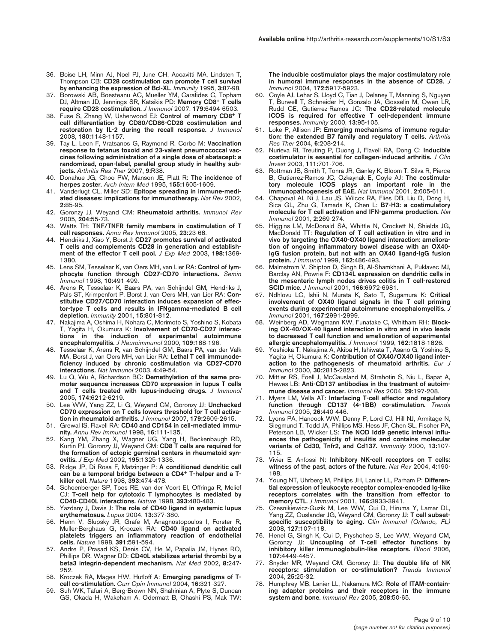- 36. Boise LH, Minn AJ, Noel PJ, June CH, Accavitti MA, Lindsten T, Thompson CB: **CD28 costimulation can promote T cell survival by enhancing the expression of Bcl-XL.** *Immunity* 1995, **3:**87-98.
- 37. Borowski AB, Boesteanu AC, Mueller YM, Carafides C, Topham DJ, Altman JD, Jennings SR, Katsikis PD: **Memory CD8+ T cells require CD28 costimulation.** *J Immunol* 2007, **179:**6494-6503.
- 38. Fuse S, Zhang W, Usherwood EJ: **Control of memory CD8+ T cell differentiation by CD80/CD86-CD28 costimulation and restoration by IL-2 during the recall response.** *J Immunol* 2008, **180:**1148-1157.
- 39. Tay L, Leon F, Vratsanos G, Raymond R, Corbo M: **Vaccination response to tetanus toxoid and 23-valent pneumococcal vaccines following administration of a single dose of abatacept: a randomized, open-label, parallel group study in healthy subjects.** *Arthritis Res Ther* 2007, **9:**R38.
- 40. Donahue JG, Choo PW, Manson JE, Platt R: **The incidence of herpes zoster.** *Arch Intern Med* 1995, **155:**1605-1609.
- 41. Vanderlugt CL, Miller SD: **Epitope spreading in immune-mediated diseases: implications for immunotherapy.** *Nat Rev* 2002, **2:**85-95.
- 42. Goronzy JJ, Weyand CM: **Rheumatoid arthritis.** *Immunol Rev* 2005, **204:**55-73.
- 43. Watts TH: **TNF/TNFR family members in costimulation of T cell responses.** *Annu Rev Immunol* 2005, **23:**23-68.
- 44. Hendriks J, Xiao Y, Borst J: **CD27 promotes survival of activated T cells and complements CD28 in generation and establishment of the effector T cell pool.** *J Exp Med* 2003, **198:**1369- 1380.
- 45. Lens SM, Tesselaar K, van Oers MH, van Lier RA: **Control of lymphocyte function through CD27-CD70 interactions.** *Semin Immunol* 1998, **10:**491-499.
- 46. Arens R, Tesselaar K, Baars PA, van Schijndel GM, Hendriks J, Pals ST, Krimpenfort P, Borst J, van Oers MH, van Lier RA: **Constitutive CD27/CD70 interaction induces expansion of effector-type T cells and results in IFNgamma-mediated B cell depletion.** *Immunity* 2001, **15:**801-812.
- 47. Nakajima A, Oshima H, Nohara C, Morimoto S, Yoshino S, Kobata T, Yagita H, Okumura K: **Involvement of CD70-CD27 interactions in the induction of experimental autoimmune encephalomyelitis.** *J Neuroimmunol* 2000, **109:**188-196.
- 48. Tesselaar K, Arens R, van Schijndel GM, Baars PA, van der Valk MA, Borst J, van Oers MH, van Lier RA: **Lethal T cell immunodeficiency induced by chronic costimulation via CD27-CD70 interactions.** *Nat Immunol* 2003, **4:**49-54.
- 49. Lu Q, Wu A, Richardson BC: **Demethylation of the same promoter sequence increases CD70 expression in lupus T cells and T cells treated with lupus-inducing drugs.** *J Immunol* 2005, **174:**6212-6219.
- 50. Lee WW, Yang ZZ, Li G, Weyand CM, Goronzy JJ: **Unchecked CD70 expression on T cells lowers threshold for T cell activation in rheumatoid arthritis.** *J Immunol* 2007, **179:**2609-2615.
- 51. Grewal IS, Flavell RA: **CD40 and CD154 in cell-mediated immunity.** *Annu Rev Immunol* 1998, **16:**111-135.
- 52. Kang YM, Zhang X, Wagner UG, Yang H, Beckenbaugh RD, Kurtin PJ, Goronzy JJ, Weyand CM: **CD8 T cells are required for the formation of ectopic germinal centers in rheumatoid synovitis.** *J Exp Med* 2002, **195:**1325-1336.
- 53. Ridge JP, Di Rosa F, Matzinger P: **A conditioned dendritic cell can be a temporal bridge between a CD4+ T-helper and a Tkiller cell.** *Nature* 1998, **393:**474-478.
- Schoenberger SP, Toes RE, van der Voort EI, Offringa R, Melief CJ: **T-cell help for cytotoxic T lymphocytes is mediated by CD40-CD40L interactions.** *Nature* 1998, **393:**480-483.
- 55. Yazdany J, Davis J: **The role of CD40 ligand in systemic lupus erythematosus.** *Lupus* 2004, **13:**377-380.
- 56. Henn V, Slupsky JR, Grafe M, Anagnostopoulos I, Forster R, Muller-Berghaus G, Kroczek RA: **CD40 ligand on activated platelets triggers an inflammatory reaction of endothelial cells.** *Nature* 1998, **391:**591-594.
- 57. Andre P, Prasad KS, Denis CV, He M, Papalia JM, Hynes RO, Phillips DR, Wagner DD: **CD40L stabilizes arterial thrombi by a beta3 integrin-dependent mechanism.** *Nat Med* 2002, **8:**247- 252.
- 58. Kroczek RA, Mages HW, Hutloff A: **Emerging paradigms of Tcell co-stimulation.** *Curr Opin Immunol* 2004, **16:**321-327.
- 59. Suh WK, Tafuri A, Berg-Brown NN, Shahinian A, Plyte S, Duncan GS, Okada H, Wakeham A, Odermatt B, Ohashi PS, Mak TW:

**The inducible costimulator plays the major costimulatory role in humoral immune responses in the absence of CD28.** *J Immunol* 2004, **172:**5917-5923.

- 60. Coyle AJ, Lehar S, Lloyd C, Tian J, Delaney T, Manning S, Nguyen T, Burwell T, Schneider H, Gonzalo JA, Gosselin M, Owen LR, Rudd CE, Gutierrez-Ramos JC: **The CD28-related molecule ICOS is required for effective T cell-dependent immune responses.** *Immunity* 2000, **13:**95-105.
- 61. Loke P, Allison JP: **Emerging mechanisms of immune regulation: the extended B7 family and regulatory T cells.** *Arthritis Res Ther* 2004, **6:**208-214.
- 62. Nurieva RI, Treuting P, Duong J, Flavell RA, Dong C: **Inducible costimulator is essential for collagen-induced arthritis.** *J Clin Invest* 2003, **111:**701-706.
- 63. Rottman JB, Smith T, Tonra JR, Ganley K, Bloom T, Silva R, Pierce B, Gutierrez-Ramos JC, Ozkaynak E, Coyle AJ: **The costimulatory molecule ICOS plays an important role in the immunopathogenesis of EAE.** *Nat Immunol* 2001, **2:**605-611.
- 64. Chapoval AI, Ni J, Lau JS, Wilcox RA, Flies DB, Liu D, Dong H, Sica GL, Zhu G, Tamada K, Chen L: **B7-H3: a costimulatory molecule for T cell activation and IFN-gamma production.** *Nat Immunol* 2001, **2:**269-274.
- 65. Higgins LM, McDonald SA, Whittle N, Crockett N, Shields JG, MacDonald TT: **Regulation of T cell activation in vitro and in vivo by targeting the OX40-OX40 ligand interaction: amelioration of ongoing inflammatory bowel disease with an OX40- IgG fusion protein, but not with an OX40 ligand-IgG fusion protein.** *J Immunol* 1999, **162:**486-493.
- Malmstrom V, Shipton D, Singh B, Al-Shamkhani A, Puklavec MJ, Barclay AN, Powrie F: **CD134L expression on dendritic cells in the mesenteric lymph nodes drives colitis in T cell-restored SCID mice.** *J Immunol* 2001, **166:**6972-6981.
- 67. Ndhlovu LC, Ishii N, Murata K, Sato T, Sugamura K: **Critical involvement of OX40 ligand signals in the T cell priming events during experimental autoimmune encephalomyelitis.** *J Immunol* 2001, **167:**2991-2999.
- 68. Weinberg AD, Wegmann KW, Funatake C, Whitham RH: **Blocking OX-40/OX-40 ligand interaction in vitro and in vivo leads to decreased T cell function and amelioration of experimental allergic encephalomyelitis.** *J Immunol* 1999, **162:**1818-1826.
- 69. Yoshioka T, Nakajima A, Akiba H, Ishiwata T, Asano G, Yoshino S, Yagita H, Okumura K: **Contribution of OX40/OX40 ligand interaction to the pathogenesis of rheumatoid arthritis.** *Eur J Immunol* 2000, **30:**2815-2823.
- 70. Mittler RS, Foell J, McCausland M, Strahotin S, Niu L, Bapat A, Hewes LB: **Anti-CD137 antibodies in the treatment of autoimmune disease and cancer.** *Immunol Res* 2004, **29:**197-208.
- 71. Myers LM, Vella AT: **Interfacing T-cell effector and regulatory function through CD137 (4-1BB) co-stimulation.** *Trends Immunol* 2005, **26:**440-446.
- 72. Lyons PA, Hancock WW, Denny P, Lord CJ, Hill NJ, Armitage N, Siegmund T, Todd JA, Phillips MS, Hess JF, Chen SL, Fischer PA, Peterson LB, Wicker LS: **The NOD Idd9 genetic interval influences the pathogenicity of insulitis and contains molecular variants of Cd30, Tnfr2, and Cd137.** *Immunity* 2000, **13:**107- 115.
- 73. Vivier E, Anfossi N: **Inhibitory NK-cell receptors on T cells: witness of the past, actors of the future.** *Nat Rev* 2004, **4:**190- 198.
- 74. Young NT, Uhrberg M, Phillips JH, Lanier LL, Parham P: **Differential expression of leukocyte receptor complex-encoded Ig-like receptors correlates with the transition from effector to memory CTL.** *J Immunol* 2001, **166:**3933-3941.
- 75. Czesnikiewicz-Guzik M, Lee WW, Cui D, Hiruma Y, Lamar DL, Yang ZZ, Ouslander JG, Weyand CM, Goronzy JJ: **T cell subsetspecific susceptibility to aging.** *Clin Immunol (Orlando, FL)* 2008, **127:**107-118.
- 76. Henel G, Singh K, Cui D, Pryshchep S, Lee WW, Weyand CM, Goronzy JJ: **Uncoupling of T-cell effector functions by inhibitory killer immunoglobulin-like receptors.** *Blood* 2006, **107:**4449-4457.
- 77. Snyder MR, Weyand CM, Goronzy JJ: **The double life of NK receptors: stimulation or co-stimulation?** *Trends Immunol* 2004, **25:**25-32.
- 78. Humphrey MB, Lanier LL, Nakamura MC: **Role of ITAM-containing adapter proteins and their receptors in the immune system and bone.** *Immunol Rev* 2005, **208:**50-65.